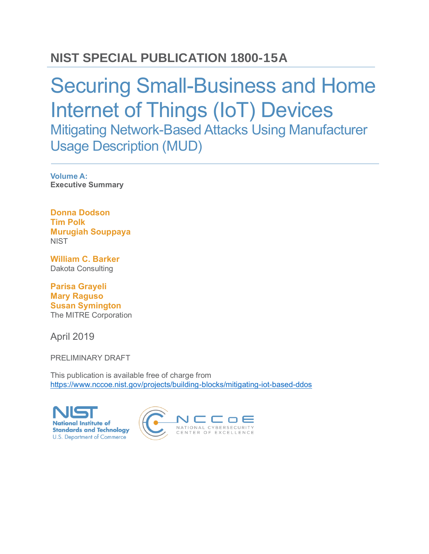## **NIST SPECIAL PUBLICATION 1800-15A**

# Securing Small-Business and Home Internet of Things (IoT) Devices Mitigating Network-Based Attacks Using Manufacturer Usage Description (MUD)

**Volume A: Executive Summary**

**Donna Dodson Tim Polk Murugiah Souppaya NIST** 

**William C. Barker** Dakota Consulting

**Parisa Grayeli Mary Raguso Susan Symington** The MITRE Corporation

April 2019

PRELIMINARY DRAFT

This publication is available free of charge from <https://www.nccoe.nist.gov/projects/building-blocks/mitigating-iot-based-ddos>

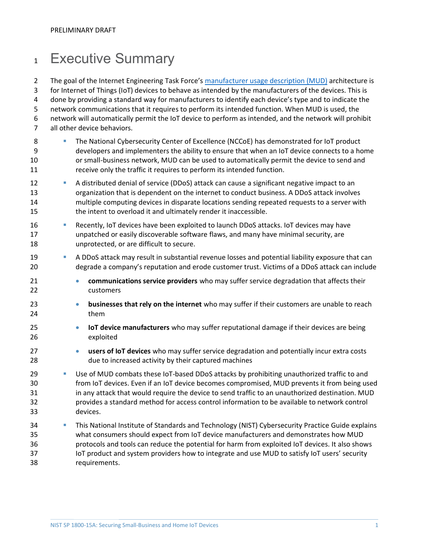## 1 Executive Summary

2 The goal of the Internet Engineering Task Force's [manufacturer usage description \(MUD\)](https://tools.ietf.org/html/rfc8520) architecture is for Internet of Things (IoT) devices to behave as intended by the manufacturers of the devices. This is done by providing a standard way for manufacturers to identify each device's type and to indicate the network communications that it requires to perform its intended function. When MUD is used, the network will automatically permit the IoT device to perform as intended, and the network will prohibit all other device behaviors.

- **The National Cybersecurity Center of Excellence (NCCoE) has demonstrated for IoT product**  developers and implementers the ability to ensure that when an IoT device connects to a home or small-business network, MUD can be used to automatically permit the device to send and receive only the traffic it requires to perform its intended function.
- **· A distributed denial of service (DDoS) attack can cause a significant negative impact to an**  organization that is dependent on the internet to conduct business. A DDoS attack involves multiple computing devices in disparate locations sending repeated requests to a server with the intent to overload it and ultimately render it inaccessible.
- **· Becently, IoT devices have been exploited to launch DDoS attacks. IoT devices may have**  unpatched or easily discoverable software flaws, and many have minimal security, are unprotected, or are difficult to secure.
- A DDoS attack may result in substantial revenue losses and potential liability exposure that can degrade a company's reputation and erode customer trust. Victims of a DDoS attack can include
- **communications service providers** who may suffer service degradation that affects their customers
- **businesses that rely on the internet** who may suffer if their customers are unable to reach them
- **IoT device manufacturers** who may suffer reputational damage if their devices are being exploited
- **users of IoT devices** who may suffer service degradation and potentially incur extra costs due to increased activity by their captured machines
- **BEE USE OF MUD combats these IoT-based DDoS attacks by prohibiting unauthorized traffic to and**  from IoT devices. Even if an IoT device becomes compromised, MUD prevents it from being used in any attack that would require the device to send traffic to an unauthorized destination. MUD provides a standard method for access control information to be available to network control devices.
- This National Institute of Standards and Technology (NIST) Cybersecurity Practice Guide explains what consumers should expect from IoT device manufacturers and demonstrates how MUD protocols and tools can reduce the potential for harm from exploited IoT devices. It also shows IoT product and system providers how to integrate and use MUD to satisfy IoT users' security requirements.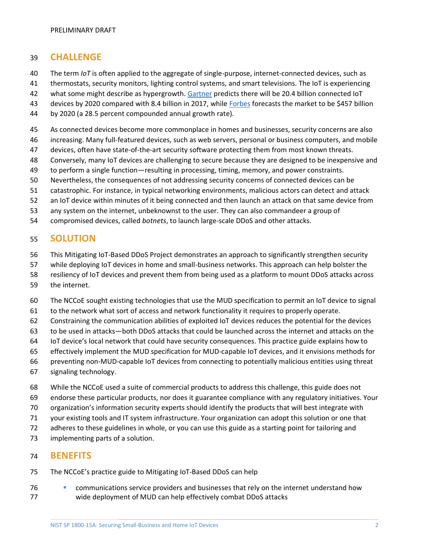#### **CHALLENGE**

- 40 The term *IoT* is often applied to the aggregate of single-purpose, internet-connected devices, such as
- thermostats, security monitors, lighting control systems, and smart televisions. The IoT is experiencing
- what some might describe as hypergrowth. [Gartner](https://www.gartner.com/en/newsroom/press-releases/2017-02-07-gartner-says-8-billion-connected-things-will-be-in-use-in-2017-up-31-percent-from-2016) predicts there will be 20.4 billion connected IoT
- 43 devices by 2020 compared with 8.4 billion in 2017, while [Forbes](https://www.forbes.com/sites/louiscolumbus/2017/12/10/2017-roundup-of-internet-of-things-forecasts/#61f6a9dd1480) forecasts the market to be \$457 billion
- by 2020 (a 28.5 percent compounded annual growth rate).
- As connected devices become more commonplace in homes and businesses, security concerns are also
- increasing. Many full-featured devices, such as web servers, personal or business computers, and mobile
- devices, often have state-of-the-art security software protecting them from most known threats.
- Conversely, many IoT devices are challenging to secure because they are designed to be inexpensive and
- to perform a single function—resulting in processing, timing, memory, and power constraints.
- Nevertheless, the consequences of not addressing security concerns of connected devices can be
- catastrophic. For instance, in typical networking environments, malicious actors can detect and attack
- an IoT device within minutes of it being connected and then launch an attack on that same device from
- any system on the internet, unbeknownst to the user. They can also commandeer a group of
- compromised devices, called *botnets*, to launch large-scale DDoS and other attacks.

#### **SOLUTION**

- This Mitigating IoT-Based DDoS Project demonstrates an approach to significantly strengthen security
- while deploying IoT devices in home and small-business networks. This approach can help bolster the
- resiliency of IoT devices and prevent them from being used as a platform to mount DDoS attacks across
- the internet.
- The NCCoE sought existing technologies that use the MUD specification to permit an IoT device to signal
- to the network what sort of access and network functionality it requires to properly operate.
- Constraining the communication abilities of exploited IoT devices reduces the potential for the devices
- to be used in attacks—both DDoS attacks that could be launched across the internet and attacks on the
- IoT device's local network that could have security consequences. This practice guide explains how to
- effectively implement the MUD specification for MUD-capable IoT devices, and it envisions methods for
- preventing non-MUD-capable IoT devices from connecting to potentially malicious entities using threat
- signaling technology.
- While the NCCoE used a suite of commercial products to address this challenge, this guide does not endorse these particular products, nor does it guarantee compliance with any regulatory initiatives. Your
- organization's information security experts should identify the products that will best integrate with
- your existing tools and IT system infrastructure. Your organization can adopt this solution or one that
- adheres to these guidelines in whole, or you can use this guide as a starting point for tailoring and
- implementing parts of a solution.

#### **BENEFITS**

- The NCCoE's practice guide to Mitigating IoT-Based DDoS can help
- **Communications service providers and businesses that rely on the internet understand how** wide deployment of MUD can help effectively combat DDoS attacks